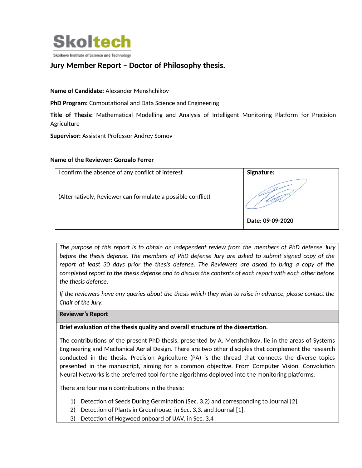

# **Jury Member Report – Doctor of Philosophy thesis.**

**Name of Candidate:** Alexander Menshchikov

**PhD Program:** Computational and Data Science and Engineering

**Title of Thesis:** Mathematical Modelling and Analysis of Intelligent Monitoring Platform for Precision Agriculture

**Supervisor:** Assistant Professor Andrey Somov

### **Name of the Reviewer: Gonzalo Ferrer**

| confirm the absence of any conflict of interest             | <b>Signature:</b> |
|-------------------------------------------------------------|-------------------|
| (Alternatively, Reviewer can formulate a possible conflict) |                   |
|                                                             | Date: 09-09-2020  |

*The purpose of this report is to obtain an independent review from the members of PhD defense Jury before the thesis defense. The members of PhD defense Jury are asked to submit signed copy of the report at least 30 days prior the thesis defense. The Reviewers are asked to bring a copy of the completed report to the thesis defense and to discuss the contents of each report with each other before the thesis defense.* 

*If the reviewers have any queries about the thesis which they wish to raise in advance, please contact the Chair of the Jury.*

**Reviewer's Report**

**Brief evaluation of the thesis quality and overall structure of the dissertation.**

The contributions of the present PhD thesis, presented by A. Menshchikov, lie in the areas of Systems Engineering and Mechanical Aerial Design. There are two other disciples that complement the research conducted in the thesis. Precision Agriculture (PA) is the thread that connects the diverse topics presented in the manuscript, aiming for a common objective. From Computer Vision, Convolution Neural Networks is the preferred tool for the algorithms deployed into the monitoring platforms.

There are four main contributions in the thesis:

- 1) Detection of Seeds During Germination (Sec. 3.2) and corresponding to Journal [2].
- 2) Detection of Plants in Greenhouse, in Sec. 3.3. and Journal [1].
- 3) Detection of Hogweed onboard of UAV, in Sec. 3.4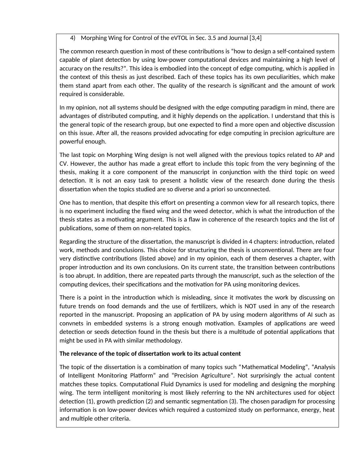4) Morphing Wing for Control of the eVTOL in Sec. 3.5 and Journal [3,4]

The common research question in most of these contributions is "how to design a self-contained system capable of plant detection by using low-power computational devices and maintaining a high level of accuracy on the results?". This idea is embodied into the concept of edge computing, which is applied in the context of this thesis as just described. Each of these topics has its own peculiarities, which make them stand apart from each other. The quality of the research is significant and the amount of work required is considerable.

In my opinion, not all systems should be designed with the edge computing paradigm in mind, there are advantages of distributed computing, and it highly depends on the application. I understand that this is the general topic of the research group, but one expected to find a more open and objective discussion on this issue. After all, the reasons provided advocating for edge computing in precision agriculture are powerful enough.

The last topic on Morphing Wing design is not well aligned with the previous topics related to AP and CV. However, the author has made a great effort to include this topic from the very beginning of the thesis, making it a core component of the manuscript in conjunction with the third topic on weed detection. It is not an easy task to present a holistic view of the research done during the thesis dissertation when the topics studied are so diverse and a priori so unconnected.

One has to mention, that despite this effort on presenting a common view for all research topics, there is no experiment including the fixed wing and the weed detector, which is what the introduction of the thesis states as a motivating argument. This is a flaw in coherence of the research topics and the list of publications, some of them on non-related topics.

Regarding the structure of the dissertation, the manuscript is divided in 4 chapters: introduction, related work, methods and conclusions. This choice for structuring the thesis is unconventional. There are four very distinctive contributions (listed above) and in my opinion, each of them deserves a chapter, with proper introduction and its own conclusions. On its current state, the transition between contributions is too abrupt. In addition, there are repeated parts through the manuscript, such as the selection of the computing devices, their specifications and the motivation for PA using monitoring devices.

There is a point in the introduction which is misleading, since it motivates the work by discussing on future trends on food demands and the use of fertilizers, which is NOT used in any of the research reported in the manuscript. Proposing an application of PA by using modern algorithms of AI such as convnets in embedded systems is a strong enough motivation. Examples of applications are weed detection or seeds detection found in the thesis but there is a multitude of potential applications that might be used in PA with similar methodology.

# **The relevance of the topic of dissertation work to its actual content**

The topic of the dissertation is a combination of many topics such "Mathematical Modeling", "Analysis of Intelligent Monitoring Platform" and "Precision Agriculture". Not surprisingly the actual content matches these topics. Computational Fluid Dynamics is used for modeling and designing the morphing wing. The term intelligent monitoring is most likely referring to the NN architectures used for object detection (1), growth prediction (2) and semantic segmentation (3). The chosen paradigm for processing information is on low-power devices which required a customized study on performance, energy, heat and multiple other criteria.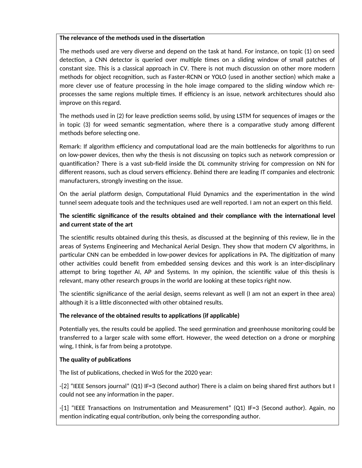### **The relevance of the methods used in the dissertation**

The methods used are very diverse and depend on the task at hand. For instance, on topic (1) on seed detection, a CNN detector is queried over multiple times on a sliding window of small patches of constant size. This is a classical approach in CV. There is not much discussion on other more modern methods for object recognition, such as Faster-RCNN or YOLO (used in another section) which make a more clever use of feature processing in the hole image compared to the sliding window which reprocesses the same regions multiple times. If efficiency is an issue, network architectures should also improve on this regard.

The methods used in (2) for leave prediction seems solid, by using LSTM for sequences of images or the in topic (3) for weed semantic segmentation, where there is a comparative study among different methods before selecting one.

Remark: If algorithm efficiency and computational load are the main bottlenecks for algorithms to run on low-power devices, then why the thesis is not discussing on topics such as network compression or quantification? There is a vast sub-field inside the DL community striving for compression on NN for different reasons, such as cloud servers efficiency. Behind there are leading IT companies and electronic manufacturers, strongly investing on the issue.

On the aerial platform design, Computational Fluid Dynamics and the experimentation in the wind tunnel seem adequate tools and the techniques used are well reported. I am not an expert on this field.

# **The scientific significance of the results obtained and their compliance with the international level and current state of the art**

The scientific results obtained during this thesis, as discussed at the beginning of this review, lie in the areas of Systems Engineering and Mechanical Aerial Design. They show that modern CV algorithms, in particular CNN can be embedded in low-power devices for applications in PA. The digitization of many other activities could benefit from embedded sensing devices and this work is an inter-disciplinary attempt to bring together AI, AP and Systems. In my opinion, the scientific value of this thesis is relevant, many other research groups in the world are looking at these topics right now.

The scientific significance of the aerial design, seems relevant as well (I am not an expert in thee area) although it is a little disconnected with other obtained results.

# **The relevance of the obtained results to applications (if applicable)**

Potentially yes, the results could be applied. The seed germination and greenhouse monitoring could be transferred to a larger scale with some effort. However, the weed detection on a drone or morphing wing, I think, is far from being a prototype.

# **The quality of publications**

The list of publications, checked in WoS for the 2020 year:

-[2] "IEEE Sensors journal" (Q1) IF=3 (Second author) There is a claim on being shared first authors but I could not see any information in the paper.

-[1] "IEEE Transactions on Instrumentation and Measurement" (Q1) IF=3 (Second author). Again, no mention indicating equal contribution, only being the corresponding author.